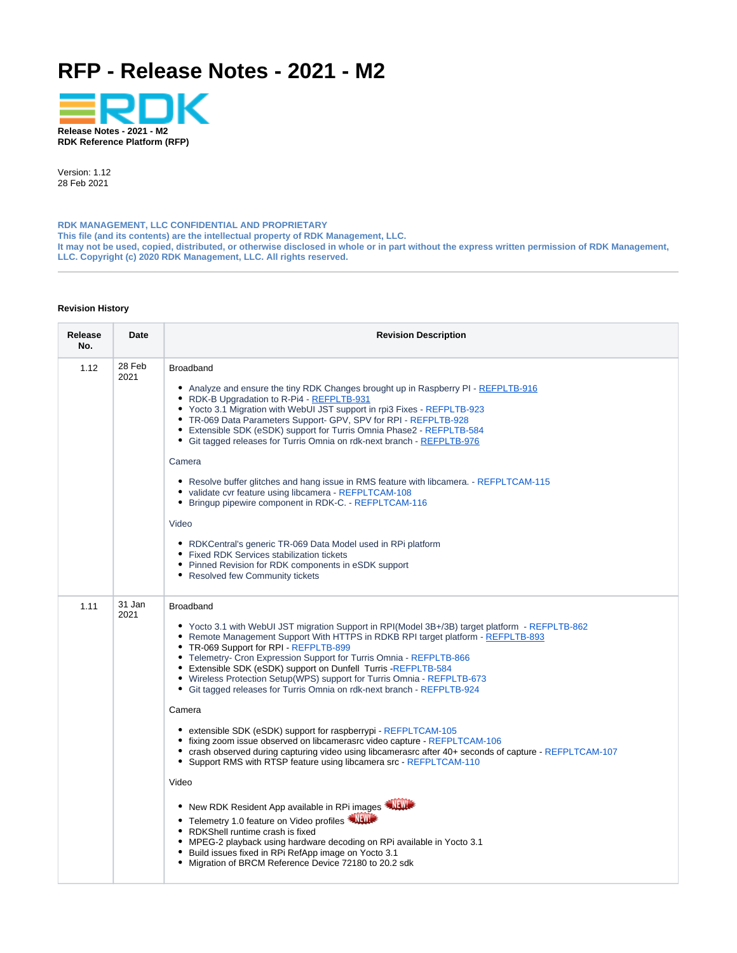# <span id="page-0-0"></span>**RFP - Release Notes - 2021 - M2**



Version: 1.12 28 Feb 2021

**RDK MANAGEMENT, LLC CONFIDENTIAL AND PROPRIETARY This file (and its contents) are the intellectual property of RDK Management, LLC. It may not be used, copied, distributed, or otherwise disclosed in whole or in part without the express written permission of RDK Management, LLC. Copyright (c) 2020 RDK Management, LLC. All rights reserved.**

#### **Revision History**

| Release<br>No.                                                                                                                                                                                                                                                                                                                                                                                                                                                                                                                                                                                                                                                                                                                                                                                                                                                                                                                | <b>Date</b>    | <b>Revision Description</b>                                                                                                                                                                                                                                                                                                                                                                                                                                                                                                                                                                                                                                                                                                                                                                                                                                                                                                                                                                                                                                                                                                                                                                                                          |
|-------------------------------------------------------------------------------------------------------------------------------------------------------------------------------------------------------------------------------------------------------------------------------------------------------------------------------------------------------------------------------------------------------------------------------------------------------------------------------------------------------------------------------------------------------------------------------------------------------------------------------------------------------------------------------------------------------------------------------------------------------------------------------------------------------------------------------------------------------------------------------------------------------------------------------|----------------|--------------------------------------------------------------------------------------------------------------------------------------------------------------------------------------------------------------------------------------------------------------------------------------------------------------------------------------------------------------------------------------------------------------------------------------------------------------------------------------------------------------------------------------------------------------------------------------------------------------------------------------------------------------------------------------------------------------------------------------------------------------------------------------------------------------------------------------------------------------------------------------------------------------------------------------------------------------------------------------------------------------------------------------------------------------------------------------------------------------------------------------------------------------------------------------------------------------------------------------|
| 28 Feb<br>1.12<br><b>Broadband</b><br>2021<br>• Analyze and ensure the tiny RDK Changes brought up in Raspberry PI - REFPLTB-916<br>• RDK-B Upgradation to R-Pi4 - REFPLTB-931<br>• Yocto 3.1 Migration with WebUI JST support in rpi3 Fixes - REFPLTB-923<br>• TR-069 Data Parameters Support- GPV, SPV for RPI - REFPLTB-928<br>• Extensible SDK (eSDK) support for Turris Omnia Phase2 - REFPLTB-584<br>• Git tagged releases for Turris Omnia on rdk-next branch - REFPLTB-976<br>Camera<br>• Resolve buffer glitches and hang issue in RMS feature with libcamera. - REFPLTCAM-115<br>· validate cvr feature using libcamera - REFPLTCAM-108<br>Bringup pipewire component in RDK-C. - REFPLTCAM-116<br>Video<br>• RDKCentral's generic TR-069 Data Model used in RPi platform<br>• Fixed RDK Services stabilization tickets<br>• Pinned Revision for RDK components in eSDK support<br>• Resolved few Community tickets |                |                                                                                                                                                                                                                                                                                                                                                                                                                                                                                                                                                                                                                                                                                                                                                                                                                                                                                                                                                                                                                                                                                                                                                                                                                                      |
| 1.11                                                                                                                                                                                                                                                                                                                                                                                                                                                                                                                                                                                                                                                                                                                                                                                                                                                                                                                          | 31 Jan<br>2021 | <b>Broadband</b><br>• Yocto 3.1 with WebUI JST migration Support in RPI(Model 3B+/3B) target platform - REFPLTB-862<br>• Remote Management Support With HTTPS in RDKB RPI target platform - REFPLTB-893<br>• TR-069 Support for RPI - REFPLTB-899<br>• Telemetry- Cron Expression Support for Turris Omnia - REFPLTB-866<br>• Extensible SDK (eSDK) support on Dunfell Turris -REFPLTB-584<br>• Wireless Protection Setup(WPS) support for Turris Omnia - REFPLTB-673<br>• Git tagged releases for Turris Omnia on rdk-next branch - REFPLTB-924<br>Camera<br>• extensible SDK (eSDK) support for raspberrypi - REFPLTCAM-105<br>• fixing zoom issue observed on libcamerasrc video capture - REFPLTCAM-106<br>• crash observed during capturing video using libcamerasrc after 40+ seconds of capture - REFPLTCAM-107<br>• Support RMS with RTSP feature using libcamera src - REFPLTCAM-110<br>Video<br>• New RDK Resident App available in RPi images<br>• Telemetry 1.0 feature on Video profiles<br>• RDKShell runtime crash is fixed<br>• MPEG-2 playback using hardware decoding on RPi available in Yocto 3.1<br>Build issues fixed in RPi RefApp image on Yocto 3.1<br>Migration of BRCM Reference Device 72180 to 20.2 sdk |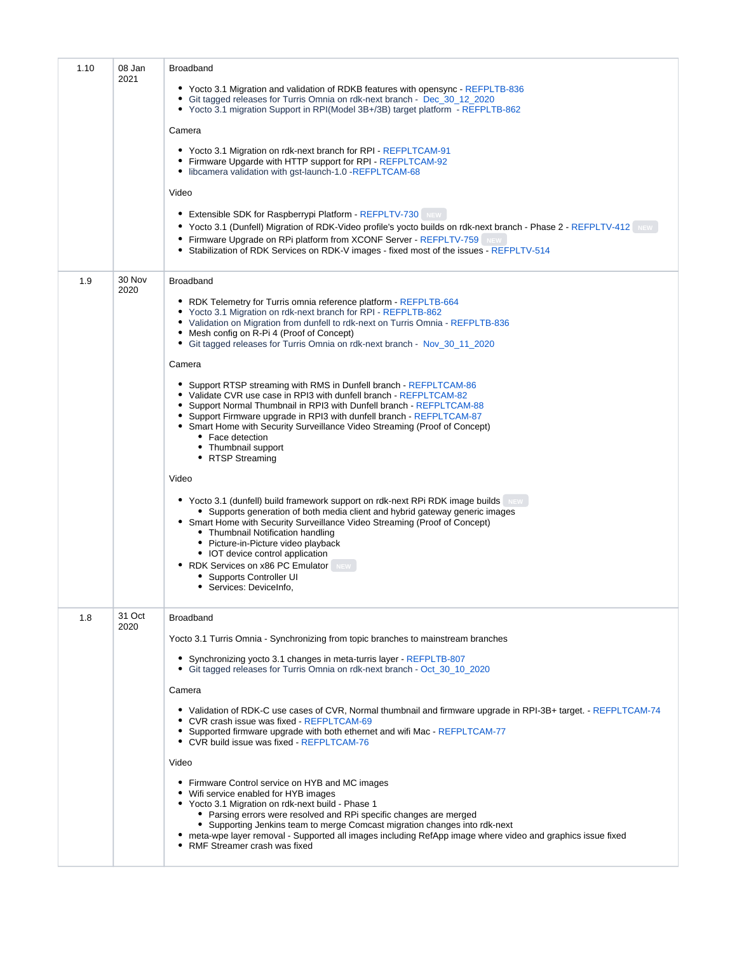| 1.10 | 08 Jan<br>2021 | <b>Broadband</b><br>• Yocto 3.1 Migration and validation of RDKB features with opensync - REFPLTB-836<br>• Git tagged releases for Turris Omnia on rdk-next branch - Dec_30_12_2020<br>• Yocto 3.1 migration Support in RPI(Model 3B+/3B) target platform - REFPLTB-862<br>Camera<br>• Yocto 3.1 Migration on rdk-next branch for RPI - REFPLTCAM-91<br>• Firmware Upgarde with HTTP support for RPI - REFPLTCAM-92<br>• libcamera validation with gst-launch-1.0 -REFPLTCAM-68<br>Video<br>• Extensible SDK for Raspberrypi Platform - REFPLTV-730 NEW<br>• Yocto 3.1 (Dunfell) Migration of RDK-Video profile's yocto builds on rdk-next branch - Phase 2 - REFPLTV-412<br>• Firmware Upgrade on RPi platform from XCONF Server - REFPLTV-759 NEW<br>• Stabilization of RDK Services on RDK-V images - fixed most of the issues - REFPLTV-514                                                                                                                                                                                                                                                                                                                                                                                                                                                       |
|------|----------------|-------------------------------------------------------------------------------------------------------------------------------------------------------------------------------------------------------------------------------------------------------------------------------------------------------------------------------------------------------------------------------------------------------------------------------------------------------------------------------------------------------------------------------------------------------------------------------------------------------------------------------------------------------------------------------------------------------------------------------------------------------------------------------------------------------------------------------------------------------------------------------------------------------------------------------------------------------------------------------------------------------------------------------------------------------------------------------------------------------------------------------------------------------------------------------------------------------------------------------------------------------------------------------------------------------|
| 1.9  | 30 Nov<br>2020 | <b>Broadband</b><br>• RDK Telemetry for Turris omnia reference platform - REFPLTB-664<br>• Yocto 3.1 Migration on rdk-next branch for RPI - REFPLTB-862<br>• Validation on Migration from dunfell to rdk-next on Turris Omnia - REFPLTB-836<br>• Mesh config on R-Pi 4 (Proof of Concept)<br>• Git tagged releases for Turris Omnia on rdk-next branch - Nov_30_11_2020<br>Camera<br>• Support RTSP streaming with RMS in Dunfell branch - REFPLTCAM-86<br>• Validate CVR use case in RPI3 with dunfell branch - REFPLTCAM-82<br>• Support Normal Thumbnail in RPI3 with Dunfell branch - REFPLTCAM-88<br>• Support Firmware upgrade in RPI3 with dunfell branch - REFPLTCAM-87<br>• Smart Home with Security Surveillance Video Streaming (Proof of Concept)<br>• Face detection<br>• Thumbnail support<br>• RTSP Streaming<br>Video<br>• Yocto 3.1 (dunfell) build framework support on rdk-next RPi RDK image builds<br>• Supports generation of both media client and hybrid gateway generic images<br>• Smart Home with Security Surveillance Video Streaming (Proof of Concept)<br>• Thumbnail Notification handling<br>• Picture-in-Picture video playback<br>• IOT device control application<br>• RDK Services on x86 PC Emulator NEW<br>• Supports Controller UI<br>• Services: DeviceInfo, |
| 1.8  | 31 Oct<br>2020 | <b>Broadband</b><br>Yocto 3.1 Turris Omnia - Synchronizing from topic branches to mainstream branches<br>• Synchronizing yocto 3.1 changes in meta-turris layer - REFPLTB-807<br>• Git tagged releases for Turris Omnia on rdk-next branch - Oct_30_10_2020<br>Camera<br>• Validation of RDK-C use cases of CVR, Normal thumbnail and firmware upgrade in RPI-3B+ target. - REFPLTCAM-74<br>• CVR crash issue was fixed - REFPLTCAM-69<br>• Supported firmware upgrade with both ethernet and wifi Mac - REFPLTCAM-77<br>• CVR build issue was fixed - REFPLTCAM-76<br>Video<br>• Firmware Control service on HYB and MC images<br>• Wifi service enabled for HYB images<br>• Yocto 3.1 Migration on rdk-next build - Phase 1<br>• Parsing errors were resolved and RPi specific changes are merged<br>• Supporting Jenkins team to merge Comcast migration changes into rdk-next<br>• meta-wpe layer removal - Supported all images including RefApp image where video and graphics issue fixed<br>• RMF Streamer crash was fixed                                                                                                                                                                                                                                                                    |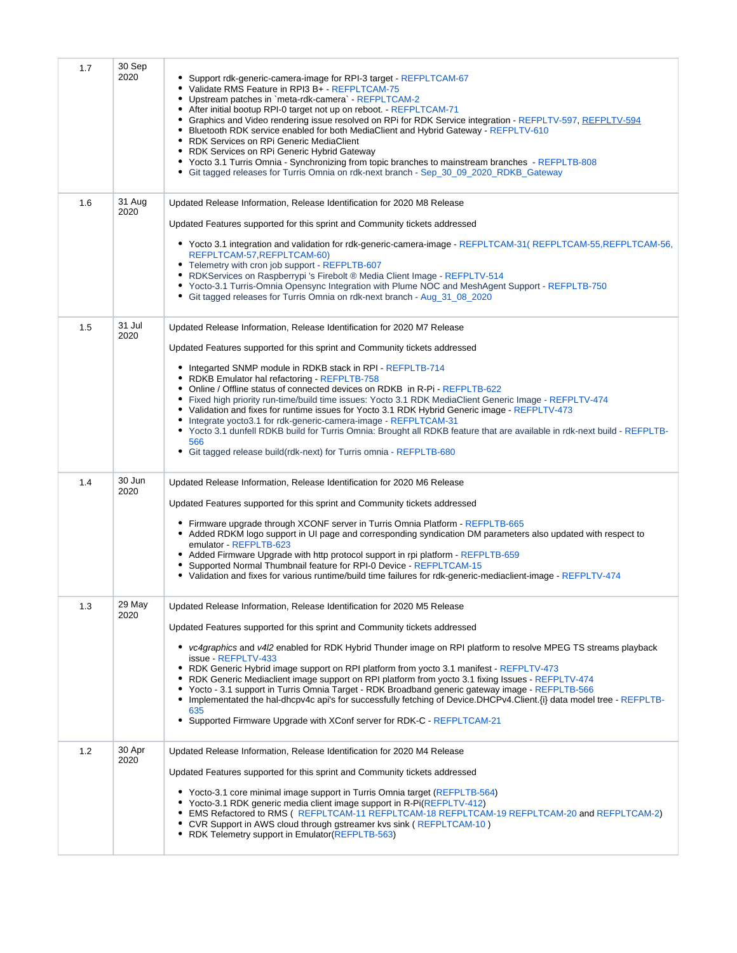| 1.7 | 30 Sep<br>2020 | Support rdk-generic-camera-image for RPI-3 target - REFPLTCAM-67<br>Validate RMS Feature in RPI3 B+ - REFPLTCAM-75<br>Upstream patches in `meta-rdk-camera` - REFPLTCAM-2<br>٠<br>After initial bootup RPI-0 target not up on reboot. - REFPLTCAM-71<br>Graphics and Video rendering issue resolved on RPi for RDK Service integration - REFPLTV-597, REFPLTV-594<br>$\bullet$<br>Bluetooth RDK service enabled for both MediaClient and Hybrid Gateway - REFPLTV-610<br>• RDK Services on RPi Generic MediaClient<br>RDK Services on RPi Generic Hybrid Gateway<br>* Yocto 3.1 Turris Omnia - Synchronizing from topic branches to mainstream branches - REFPLTB-808<br>• Git tagged releases for Turris Omnia on rdk-next branch - Sep_30_09_2020_RDKB_Gateway                                                                                |
|-----|----------------|-------------------------------------------------------------------------------------------------------------------------------------------------------------------------------------------------------------------------------------------------------------------------------------------------------------------------------------------------------------------------------------------------------------------------------------------------------------------------------------------------------------------------------------------------------------------------------------------------------------------------------------------------------------------------------------------------------------------------------------------------------------------------------------------------------------------------------------------------|
| 1.6 | 31 Aug<br>2020 | Updated Release Information, Release Identification for 2020 M8 Release<br>Updated Features supported for this sprint and Community tickets addressed<br>• Yocto 3.1 integration and validation for rdk-generic-camera-image - REFPLTCAM-31 (REFPLTCAM-55, REFPLTCAM-56,<br>REFPLTCAM-57, REFPLTCAM-60)<br>• Telemetry with cron job support - REFPLTB-607<br>• RDKServices on Raspberrypi 's Firebolt ® Media Client Image - REFPLTV-514<br>• Yocto-3.1 Turris-Omnia Opensync Integration with Plume NOC and MeshAgent Support - REFPLTB-750<br>• Git tagged releases for Turris Omnia on rdk-next branch - Aug_31_08_2020                                                                                                                                                                                                                     |
| 1.5 | 31 Jul<br>2020 | Updated Release Information, Release Identification for 2020 M7 Release<br>Updated Features supported for this sprint and Community tickets addressed<br>• Integarted SNMP module in RDKB stack in RPI - REFPLTB-714<br>• RDKB Emulator hal refactoring - REFPLTB-758<br>• Online / Offline status of connected devices on RDKB in R-Pi - REFPLTB-622<br>• Fixed high priority run-time/build time issues: Yocto 3.1 RDK MediaClient Generic Image - REFPLTV-474<br>• Validation and fixes for runtime issues for Yocto 3.1 RDK Hybrid Generic image - REFPLTV-473<br>Integrate yocto3.1 for rdk-generic-camera-image - REFPLTCAM-31<br>• Yocto 3.1 dunfell RDKB build for Turris Omnia: Brought all RDKB feature that are available in rdk-next build - REFPLTB-<br>566<br>• Git tagged release build(rdk-next) for Turris omnia - REFPLTB-680 |
| 1.4 | 30 Jun<br>2020 | Updated Release Information, Release Identification for 2020 M6 Release<br>Updated Features supported for this sprint and Community tickets addressed<br>• Firmware upgrade through XCONF server in Turris Omnia Platform - REFPLTB-665<br>• Added RDKM logo support in UI page and corresponding syndication DM parameters also updated with respect to<br>emulator - REFPLTB-623<br>Added Firmware Upgrade with http protocol support in rpi platform - REFPLTB-659<br>Supported Normal Thumbnail feature for RPI-0 Device - REFPLTCAM-15<br>• Validation and fixes for various runtime/build time failures for rdk-generic-mediaclient-image - REFPLTV-474                                                                                                                                                                                   |
| 1.3 | 29 May<br>2020 | Updated Release Information, Release Identification for 2020 M5 Release<br>Updated Features supported for this sprint and Community tickets addressed<br>vc4graphics and v4l2 enabled for RDK Hybrid Thunder image on RPI platform to resolve MPEG TS streams playback<br>issue - REFPLTV-433<br>• RDK Generic Hybrid image support on RPI platform from yocto 3.1 manifest - REFPLTV-473<br>RDK Generic Mediaclient image support on RPI platform from yocto 3.1 fixing Issues - REFPLTV-474<br>Yocto - 3.1 support in Turris Omnia Target - RDK Broadband generic gateway image - REFPLTB-566<br>٠<br>Implementated the hal-dhcpv4c api's for successfully fetching of Device.DHCPv4.Client.{i} data model tree - REFPLTB-<br>٠<br>635<br>• Supported Firmware Upgrade with XConf server for RDK-C - REFPLTCAM-21                             |
| 1.2 | 30 Apr<br>2020 | Updated Release Information, Release Identification for 2020 M4 Release<br>Updated Features supported for this sprint and Community tickets addressed<br>• Yocto-3.1 core minimal image support in Turris Omnia target (REFPLTB-564)<br>Yocto-3.1 RDK generic media client image support in R-Pi(REFPLTV-412)<br>EMS Refactored to RMS ( REFPLTCAM-11 REFPLTCAM-18 REFPLTCAM-19 REFPLTCAM-20 and REFPLTCAM-2)<br>• CVR Support in AWS cloud through gstreamer kvs sink (REFPLTCAM-10)<br>RDK Telemetry support in Emulator(REFPLTB-563)<br>٠                                                                                                                                                                                                                                                                                                    |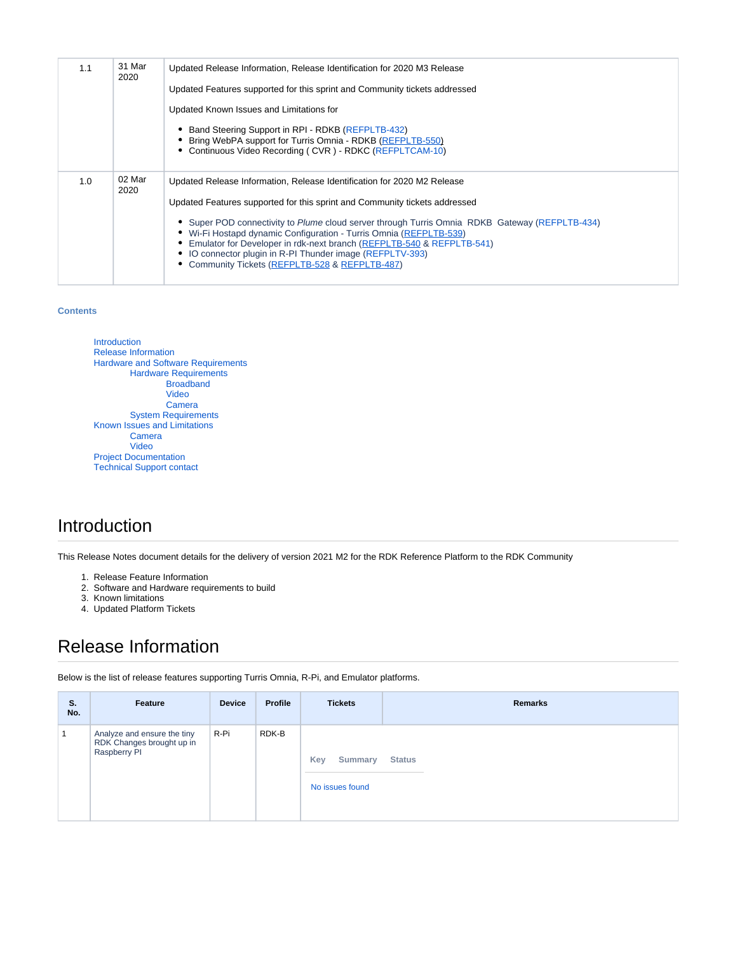| 1.1 | 31 Mar<br>2020 | Updated Release Information, Release Identification for 2020 M3 Release<br>Updated Features supported for this sprint and Community tickets addressed<br>Updated Known Issues and Limitations for<br>Band Steering Support in RPI - RDKB (REFPLTB-432)<br>Bring WebPA support for Turris Omnia - RDKB (REFPLTB-550)<br>• Continuous Video Recording (CVR) - RDKC (REFPLTCAM-10)                                                                                                                                          |
|-----|----------------|--------------------------------------------------------------------------------------------------------------------------------------------------------------------------------------------------------------------------------------------------------------------------------------------------------------------------------------------------------------------------------------------------------------------------------------------------------------------------------------------------------------------------|
| 1.0 | 02 Mar<br>2020 | Updated Release Information, Release Identification for 2020 M2 Release<br>Updated Features supported for this sprint and Community tickets addressed<br>• Super POD connectivity to Plume cloud server through Turris Omnia RDKB Gateway (REFPLTB-434)<br>• Wi-Fi Hostapd dynamic Configuration - Turris Omnia (REFPLTB-539)<br>• Emulator for Developer in rdk-next branch (REFPLTB-540 & REFPLTB-541)<br>• IO connector plugin in R-PI Thunder image (REFPLTV-393)<br>• Community Tickets (REFPLTB-528 & REFPLTB-487) |

#### **Contents**

[Introduction](#page-3-0) [Release Information](#page-3-1) [Hardware and Software Requirements](#page-5-0) [Hardware Requirements](#page-5-1) [Broadband](#page-5-2) [Video](#page-5-3) [Camera](#page-6-0) [System Requirements](#page-6-1) [Known Issues and Limitations](#page-6-2) [Camera](#page-6-3) [Video](#page-6-4) [Project Documentation](#page-6-5) [Technical Support contact](#page-7-0)

### <span id="page-3-0"></span>Introduction

This Release Notes document details for the delivery of version 2021 M2 for the RDK Reference Platform to the RDK Community

- 1. Release Feature Information
- 2. Software and Hardware requirements to build
- 3. Known limitations
- 4. Updated Platform Tickets

## <span id="page-3-1"></span>Release Information

Below is the list of release features supporting Turris Omnia, R-Pi, and Emulator platforms.

| S.<br>No. | Feature                                                                  | <b>Device</b> | <b>Profile</b> | <b>Tickets</b>                    | <b>Remarks</b> |
|-----------|--------------------------------------------------------------------------|---------------|----------------|-----------------------------------|----------------|
|           | Analyze and ensure the tiny<br>RDK Changes brought up in<br>Raspberry PI | R-Pi          | RDK-B          | Key<br>Summary<br>No issues found | <b>Status</b>  |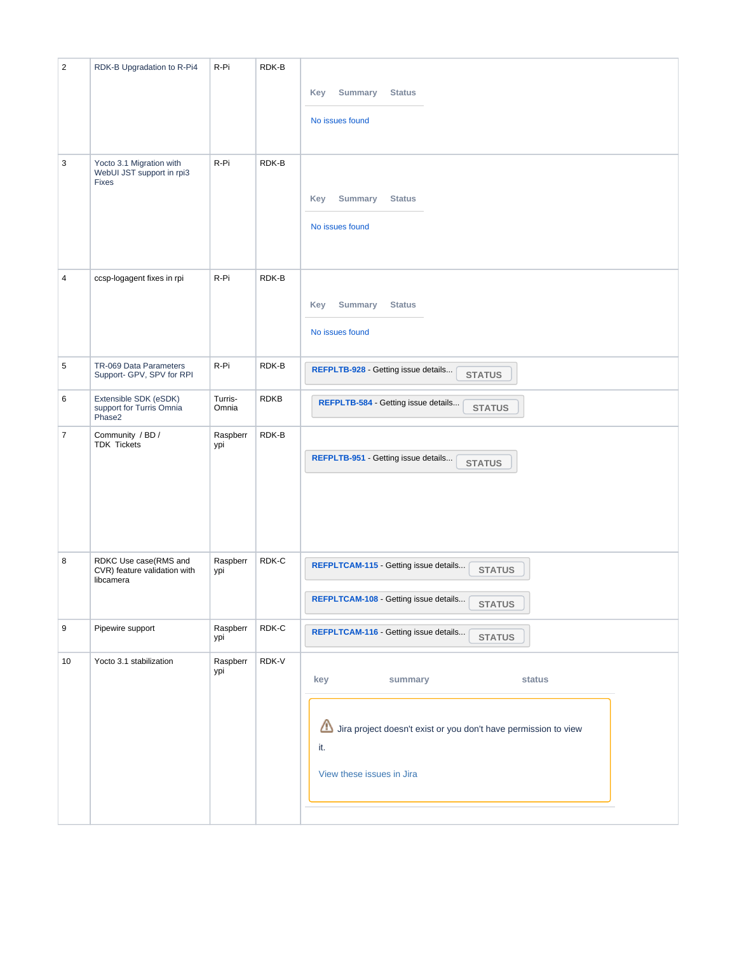| $\overline{2}$ | RDK-B Upgradation to R-Pi4                                            | R-Pi             | RDK-B       |                                                                             |
|----------------|-----------------------------------------------------------------------|------------------|-------------|-----------------------------------------------------------------------------|
|                |                                                                       |                  |             | Key<br><b>Summary</b><br><b>Status</b>                                      |
|                |                                                                       |                  |             | No issues found                                                             |
|                |                                                                       |                  |             |                                                                             |
| 3              | Yocto 3.1 Migration with<br>WebUI JST support in rpi3<br><b>Fixes</b> | R-Pi             | RDK-B       |                                                                             |
|                |                                                                       |                  |             | <b>Summary</b><br><b>Status</b><br>Key                                      |
|                |                                                                       |                  |             | No issues found                                                             |
|                |                                                                       |                  |             |                                                                             |
| 4              | ccsp-logagent fixes in rpi                                            | R-Pi             | RDK-B       |                                                                             |
|                |                                                                       |                  |             | Key<br><b>Summary</b><br><b>Status</b>                                      |
|                |                                                                       |                  |             | No issues found                                                             |
|                |                                                                       |                  |             |                                                                             |
| $\,$ 5 $\,$    | TR-069 Data Parameters<br>Support- GPV, SPV for RPI                   | R-Pi             | RDK-B       | REFPLTB-928 - Getting issue details<br><b>STATUS</b>                        |
| 6              | Extensible SDK (eSDK)<br>support for Turris Omnia<br>Phase2           | Turris-<br>Omnia | <b>RDKB</b> | REFPLTB-584 - Getting issue details<br><b>STATUS</b>                        |
| $\overline{7}$ | Community / BD /<br><b>TDK Tickets</b>                                | Raspberr<br>ypi  | RDK-B       |                                                                             |
|                |                                                                       |                  |             | REFPLTB-951 - Getting issue details<br><b>STATUS</b>                        |
|                |                                                                       |                  |             |                                                                             |
|                |                                                                       |                  |             |                                                                             |
|                |                                                                       |                  |             |                                                                             |
| 8              | RDKC Use case(RMS and<br>CVR) feature validation with<br>libcamera    | Raspberr<br>ypi  | RDK-C       | REFPLTCAM-115 - Getting issue details<br><b>STATUS</b>                      |
|                |                                                                       |                  |             | REFPLTCAM-108 - Getting issue details<br><b>STATUS</b>                      |
| 9              | Pipewire support                                                      | Raspberr<br>ypi  | RDK-C       | REFPLTCAM-116 - Getting issue details<br><b>STATUS</b>                      |
| 10             | Yocto 3.1 stabilization                                               | Raspberr<br>ypi  | RDK-V       |                                                                             |
|                |                                                                       |                  |             | key<br>summary<br>status                                                    |
|                |                                                                       |                  |             |                                                                             |
|                |                                                                       |                  |             | ◬<br>Jira project doesn't exist or you don't have permission to view<br>it. |
|                |                                                                       |                  |             | View these issues in Jira                                                   |
|                |                                                                       |                  |             |                                                                             |
|                |                                                                       |                  |             |                                                                             |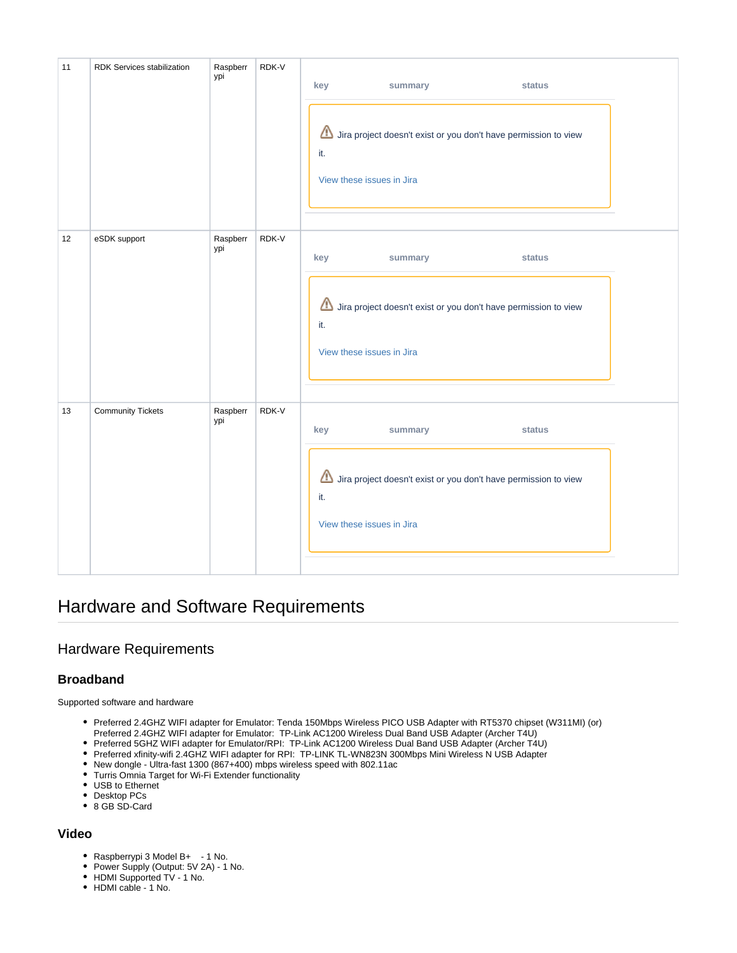| 11 | RDK Services stabilization | Raspberr<br>ypi | RDK-V | key<br>summary<br>status<br>◬<br>Jira project doesn't exist or you don't have permission to view<br>it.<br>View these issues in Jira |  |
|----|----------------------------|-----------------|-------|--------------------------------------------------------------------------------------------------------------------------------------|--|
| 12 | eSDK support               | Raspberr<br>ypi | RDK-V | key<br>status<br>summary<br>Jira project doesn't exist or you don't have permission to view<br>it.<br>View these issues in Jira      |  |
| 13 | <b>Community Tickets</b>   | Raspberr<br>ypi | RDK-V | key<br>status<br>summary<br>⚠<br>Jira project doesn't exist or you don't have permission to view<br>it.<br>View these issues in Jira |  |

### <span id="page-5-0"></span>Hardware and Software Requirements

### <span id="page-5-1"></span>Hardware Requirements

#### <span id="page-5-2"></span>**Broadband**

Supported software and hardware

- Preferred 2.4GHZ WIFI adapter for Emulator: Tenda 150Mbps Wireless PICO USB Adapter with RT5370 chipset (W311MI) (or) Preferred 2.4GHZ WIFI adapter for Emulator: TP-Link AC1200 Wireless Dual Band USB Adapter (Archer T4U)
- Preferred 5GHZ WIFI adapter for Emulator/RPI: TP-Link AC1200 Wireless Dual Band USB Adapter (Archer T4U)
- Preferred xfinity-wifi 2.4GHZ WIFI adapter for RPI: TP-LINK TL-WN823N 300Mbps Mini Wireless N USB Adapter
- New dongle Ultra-fast 1300 (867+400) mbps wireless speed with 802.11ac
- Turris Omnia Target for Wi-Fi Extender functionality
- USB to Ethernet
- Desktop PCs
- 8 GB SD-Card

#### <span id="page-5-3"></span>**Video**

- Raspberrypi 3 Model B+ 1 No.
- Power Supply (Output: 5V 2A) 1 No.
- HDMI Supported TV 1 No.
- HDMI cable 1 No.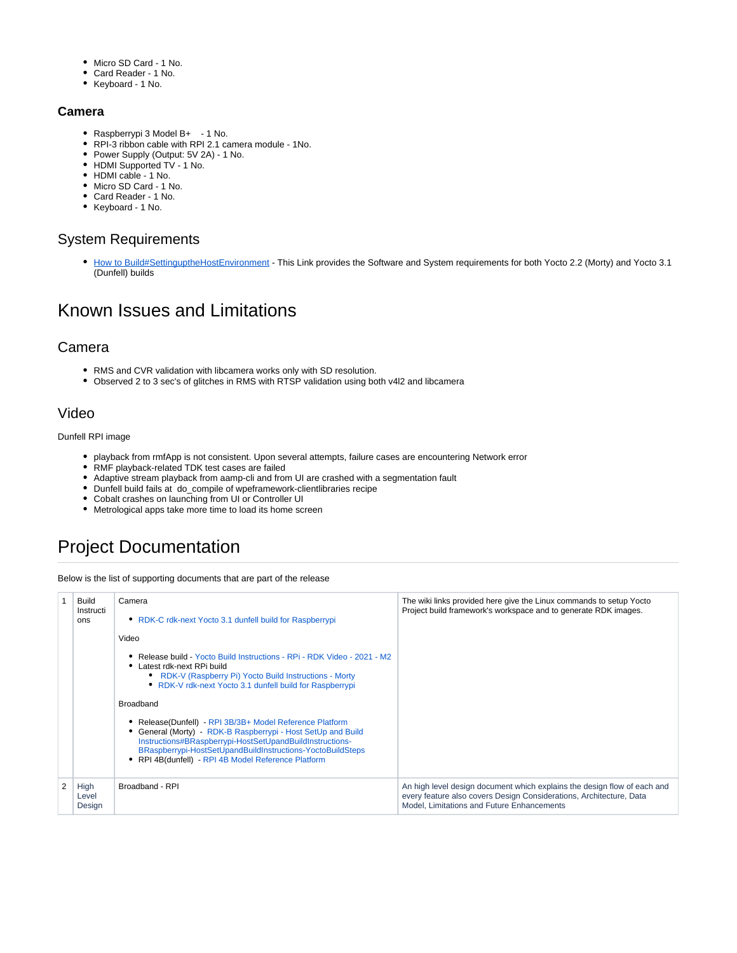- Micro SD Card 1 No.
- Card Reader 1 No.
- Keyboard 1 No.

#### <span id="page-6-0"></span>**Camera**

- Raspberrypi 3 Model B+ 1 No.
- RPI-3 ribbon cable with RPI 2.1 camera module 1No.
- Power Supply (Output: 5V 2A) 1 No.
- HDMI Supported TV 1 No.
- HDMI cable 1 No.
- Micro SD Card 1 No.
- Card Reader 1 No.
- Keyboard 1 No.

#### <span id="page-6-1"></span>System Requirements

• [How to Build#SettinguptheHostEnvironment](https://wiki.rdkcentral.com/display/RDK/How+to+Build#HowtoBuild-SettinguptheHostEnvironment) - This Link provides the Software and System requirements for both Yocto 2.2 (Morty) and Yocto 3.1 (Dunfell) builds

### <span id="page-6-2"></span>Known Issues and Limitations

#### <span id="page-6-3"></span>Camera

- RMS and CVR validation with libcamera works only with SD resolution.
- Observed 2 to 3 sec's of glitches in RMS with RTSP validation using both v4l2 and libcamera

### <span id="page-6-4"></span>Video

Dunfell RPI image

- playback from rmfApp is not consistent. Upon several attempts, failure cases are encountering Network error
- RMF playback-related TDK test cases are failed
- Adaptive stream playback from aamp-cli and from UI are crashed with a segmentation fault
- Dunfell build fails at do\_compile of wpeframework-clientlibraries recipe
- Cobalt crashes on launching from UI or Controller UI
- Metrological apps take more time to load its home screen

## <span id="page-6-5"></span>Project Documentation

Below is the list of supporting documents that are part of the release

| Build<br>Instructi<br>ons | Camera<br>• RDK-C rdk-next Yocto 3.1 dunfell build for Raspberrypi                                                                                                                                                                                                                                  | The wiki links provided here give the Linux commands to setup Yocto<br>Project build framework's workspace and to generate RDK images.                                                        |
|---------------------------|-----------------------------------------------------------------------------------------------------------------------------------------------------------------------------------------------------------------------------------------------------------------------------------------------------|-----------------------------------------------------------------------------------------------------------------------------------------------------------------------------------------------|
|                           | Video                                                                                                                                                                                                                                                                                               |                                                                                                                                                                                               |
|                           | • Release build - Yocto Build Instructions - RPi - RDK Video - 2021 - M2<br>• Latest rdk-next RPi build<br>• RDK-V (Raspberry Pi) Yocto Build Instructions - Morty<br>• RDK-V rdk-next Yocto 3.1 dunfell build for Raspberrypi                                                                      |                                                                                                                                                                                               |
|                           | <b>Broadband</b>                                                                                                                                                                                                                                                                                    |                                                                                                                                                                                               |
|                           | Release(Dunfell) - RPI 3B/3B+ Model Reference Platform<br>General (Morty) - RDK-B Raspberrypi - Host SetUp and Build<br>Instructions#BRaspberrypi-HostSetUpandBuildInstructions-<br>BRaspberrypi-HostSetUpandBuildInstructions-YoctoBuildSteps<br>RPI 4B(dunfell) - RPI 4B Model Reference Platform |                                                                                                                                                                                               |
| High<br>Level<br>Design   | Broadband - RPI                                                                                                                                                                                                                                                                                     | An high level design document which explains the design flow of each and<br>every feature also covers Design Considerations, Architecture, Data<br>Model. Limitations and Future Enhancements |